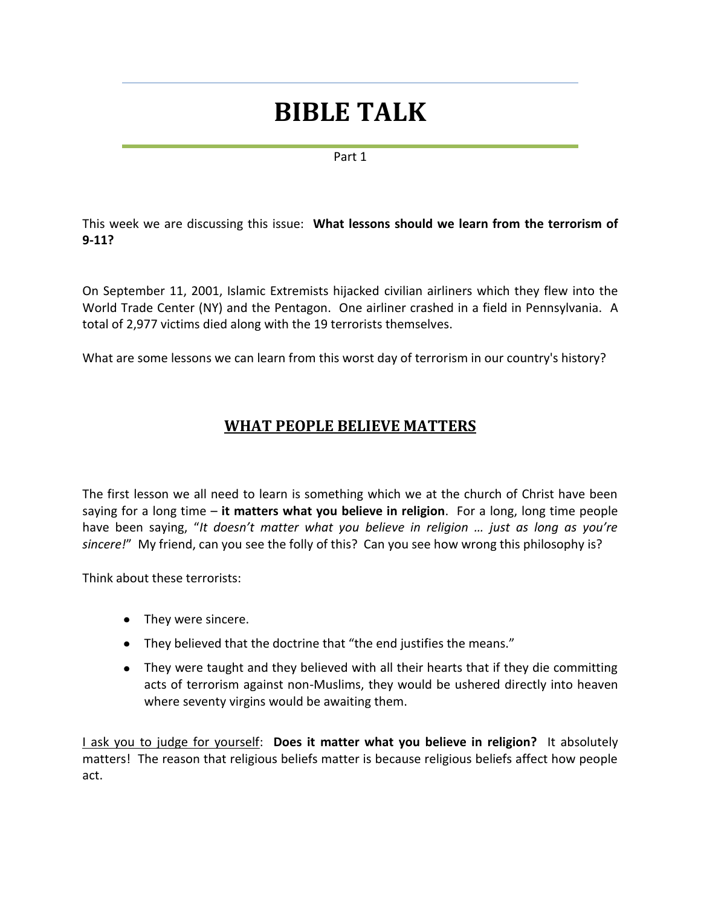# **BIBLE TALK**

#### Part 1

This week we are discussing this issue: **What lessons should we learn from the terrorism of 9-11?**

On September 11, 2001, Islamic Extremists hijacked civilian airliners which they flew into the World Trade Center (NY) and the Pentagon. One airliner crashed in a field in Pennsylvania. A total of 2,977 victims died along with the 19 terrorists themselves.

What are some lessons we can learn from this worst day of terrorism in our country's history?

# **WHAT PEOPLE BELIEVE MATTERS**

The first lesson we all need to learn is something which we at the church of Christ have been saying for a long time – **it matters what you believe in religion**. For a long, long time people have been saying, "*It doesn't matter what you believe in religion … just as long as you're sincere!*" My friend, can you see the folly of this? Can you see how wrong this philosophy is?

Think about these terrorists:

- They were sincere.
- They believed that the doctrine that "the end justifies the means."
- They were taught and they believed with all their hearts that if they die committing acts of terrorism against non-Muslims, they would be ushered directly into heaven where seventy virgins would be awaiting them.

I ask you to judge for yourself: **Does it matter what you believe in religion?** It absolutely matters! The reason that religious beliefs matter is because religious beliefs affect how people act.